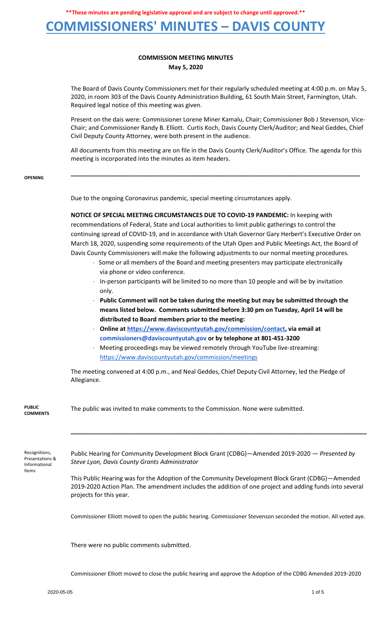**\*\*These minutes are pending legislative approval and are subject to change until approved.\*\***

### **COMMISSIONERS' MINUTES – DAVIS COUNTY**

#### **COMMISSION MEETING MINUTES May 5, 2020**

The Board of Davis County Commissioners met for their regularly scheduled meeting at 4:00 p.m. on May 5, 2020, in room 303 of the Davis County Administration Building, 61 South Main Street, Farmington, Utah. Required legal notice of this meeting was given.

Present on the dais were: Commissioner Lorene Miner Kamalu, Chair; Commissioner Bob J Stevenson, Vice-Chair; and Commissioner Randy B. Elliott. Curtis Koch, Davis County Clerk/Auditor; and Neal Geddes, Chief Civil Deputy County Attorney, were both present in the audience.

All documents from this meeting are on file in the Davis County Clerk/Auditor's Office. The agenda for this meeting is incorporated into the minutes as item headers.

**\_\_\_\_\_\_\_\_\_\_\_\_\_\_\_\_\_\_\_\_\_\_\_\_\_\_\_\_\_\_\_\_\_\_\_\_\_\_\_\_\_\_\_\_\_\_\_\_\_\_\_\_\_\_\_\_\_\_\_\_\_\_\_\_\_\_\_\_\_\_\_\_\_\_\_\_\_\_\_\_\_\_\_\_\_\_**

**OPENING**

Due to the ongoing Coronavirus pandemic, special meeting circumstances apply.

**NOTICE OF SPECIAL MEETING CIRCUMSTANCES DUE TO COVID-19 PANDEMIC:** In keeping with recommendations of Federal, State and Local authorities to limit public gatherings to control the continuing spread of COVID-19, and in accordance with Utah Governor Gary Herbert's Executive Order on March 18, 2020, suspending some requirements of the Utah Open and Public Meetings Act, the Board of Davis County Commissioners will make the following adjustments to our normal meeting procedures.

- · Some or all members of the Board and meeting presenters may participate electronically via phone or video conference.
- · In-person participants will be limited to no more than 10 people and will be by invitation only.
- · **Public Comment will not be taken during the meeting but may be submitted through the means listed below. Comments submitted before 3:30 pm on Tuesday, April 14 will be distributed to Board members prior to the meeting:**
- · **Online a[t](https://www.daviscountyutah.gov/commission/contact) [https://www.daviscountyutah.gov/commission/contact,](https://www.daviscountyutah.gov/commission/contact) via email at commissioners@daviscountyutah.gov or by telephone at 801-451-3200**
- · Meeting proceedings may be viewed remotely through YouTube live-streaming: <https://www.daviscountyutah.gov/commission/meetings>

The meeting convened at 4:00 p.m., and Neal Geddes, Chief Deputy Civil Attorney, led the Pledge of Allegiance.

| <b>PUBLIC</b><br><b>COMMENTS</b>                  | The public was invited to make comments to the Commission. None were submitted.                                                                                                                                                        |
|---------------------------------------------------|----------------------------------------------------------------------------------------------------------------------------------------------------------------------------------------------------------------------------------------|
| Recognitions,<br>Presentations &<br>Informational | Public Hearing for Community Development Block Grant (CDBG)—Amended 2019-2020 — Presented by<br>Steve Lyon, Davis County Grants Administrator                                                                                          |
| Items                                             | This Public Hearing was for the Adoption of the Community Development Block Grant (CDBG)—Amended<br>2019-2020 Action Plan. The amendment includes the addition of one project and adding funds into several<br>projects for this year. |
|                                                   | Commissioner Elliott moved to open the public hearing. Commissioner Stevenson seconded the motion. All voted aye.                                                                                                                      |
|                                                   | There were no public comments submitted.                                                                                                                                                                                               |

Commissioner Elliott moved to close the public hearing and approve the Adoption of the CDBG Amended 2019-2020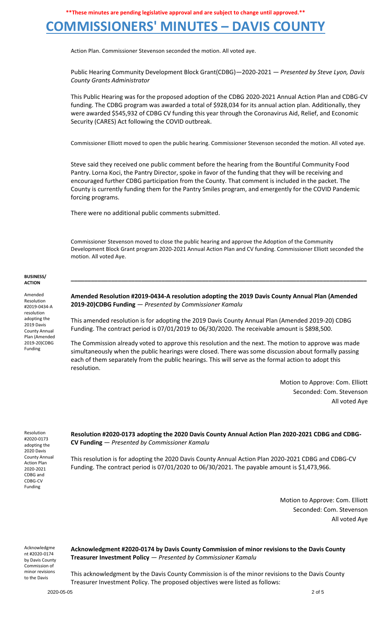**\*\*These minutes are pending legislative approval and are subject to change until approved.\*\***

# **COMMISSIONERS' MINUTES – DAVIS COUNTY**

Action Plan. Commissioner Stevenson seconded the motion. All voted aye.

Public Hearing Community Development Block Grant(CDBG)—2020-2021 — *Presented by Steve Lyon, Davis County Grants Administrator*

This Public Hearing was for the proposed adoption of the CDBG 2020-2021 Annual Action Plan and CDBG-CV funding. The CDBG program was awarded a total of \$928,034 for its annual action plan. Additionally, they were awarded \$545,932 of CDBG CV funding this year through the Coronavirus Aid, Relief, and Economic Security (CARES) Act following the COVID outbreak.

Commissioner Elliott moved to open the public hearing. Commissioner Stevenson seconded the motion. All voted aye.

Steve said they received one public comment before the hearing from the Bountiful Community Food Pantry. Lorna Koci, the Pantry Director, spoke in favor of the funding that they will be receiving and encouraged further CDBG participation from the County. That comment is included in the packet. The County is currently funding them for the Pantry Smiles program, and emergently for the COVID Pandemic forcing programs.

There were no additional public comments submitted.

Commissioner Stevenson moved to close the public hearing and approve the Adoption of the Community Development Block Grant program 2020-2021 Annual Action Plan and CV funding. Commissioner Elliott seconded the motion. All voted Aye.

**\_\_\_\_\_\_\_\_\_\_\_\_\_\_\_\_\_\_\_\_\_\_\_\_\_\_\_\_\_\_\_\_\_\_\_\_\_\_\_\_\_\_\_\_\_\_\_\_\_\_\_\_\_\_\_\_\_\_\_\_\_\_\_\_\_\_\_\_\_\_\_\_\_\_\_\_\_\_\_\_\_\_\_\_\_\_\_\_**

#### **BUSINESS/ ACTION**

Amended Resolution #2019-0434-A resolution adopting the 2019 Davis County Annual Plan (Amended 2019-20)CDBG Funding

**Amended Resolution #2019-0434-A resolution adopting the 2019 Davis County Annual Plan (Amended 2019-20)CDBG Funding** — *Presented by Commissioner Kamalu*

This amended resolution is for adopting the 2019 Davis County Annual Plan (Amended 2019-20) CDBG Funding. The contract period is 07/01/2019 to 06/30/2020. The receivable amount is \$898,500.

The Commission already voted to approve this resolution and the next. The motion to approve was made simultaneously when the public hearings were closed. There was some discussion about formally passing each of them separately from the public hearings. This will serve as the formal action to adopt this resolution.

> Motion to Approve: Com. Elliott Seconded: Com. Stevenson All voted Aye

Resolution #2020-0173 adopting the 2020 Davis County Annual Action Plan 2020-2021 CDBG and CDBG-CV Funding

**Resolution #2020-0173 adopting the 2020 Davis County Annual Action Plan 2020-2021 CDBG and CDBG-CV Funding** — *Presented by Commissioner Kamalu*

This resolution is for adopting the 2020 Davis County Annual Action Plan 2020-2021 CDBG and CDBG-CV Funding. The contract period is 07/01/2020 to 06/30/2021. The payable amount is \$1,473,966.

> Motion to Approve: Com. Elliott Seconded: Com. Stevenson All voted Aye

Acknowledgme nt #2020-0174 by Davis County Commission of minor revisions to the Davis

**Acknowledgment #2020-0174 by Davis County Commission of minor revisions to the Davis County Treasurer Investment Policy** — *Presented by Commissioner Kamalu*

This acknowledgment by the Davis County Commission is of the minor revisions to the Davis County Treasurer Investment Policy. The proposed objectives were listed as follows: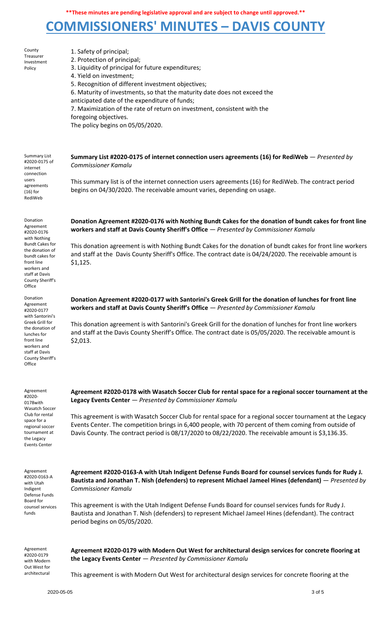# **COMMISSIONERS' MINUTES – DAVIS COUNTY**

| County<br>Treasurer<br>Investment<br>Policy                                                                                                                                                      | 1. Safety of principal;<br>2. Protection of principal;<br>3. Liquidity of principal for future expenditures;<br>4. Yield on investment;<br>5. Recognition of different investment objectives;<br>6. Maturity of investments, so that the maturity date does not exceed the<br>anticipated date of the expenditure of funds;<br>7. Maximization of the rate of return on investment, consistent with the<br>foregoing objectives.<br>The policy begins on 05/05/2020.                            |
|--------------------------------------------------------------------------------------------------------------------------------------------------------------------------------------------------|-------------------------------------------------------------------------------------------------------------------------------------------------------------------------------------------------------------------------------------------------------------------------------------------------------------------------------------------------------------------------------------------------------------------------------------------------------------------------------------------------|
| <b>Summary List</b><br>#2020-0175 of<br>internet<br>connection<br>users<br>agreements<br>$(16)$ for<br>RediWeb                                                                                   | Summary List #2020-0175 of internet connection users agreements (16) for RediWeb $-$ Presented by<br><b>Commissioner Kamalu</b><br>This summary list is of the internet connection users agreements (16) for RediWeb. The contract period<br>begins on 04/30/2020. The receivable amount varies, depending on usage.                                                                                                                                                                            |
| Donation<br>Agreement<br>#2020-0176<br>with Nothing<br><b>Bundt Cakes for</b><br>the donation of<br>bundt cakes for<br>front line<br>workers and<br>staff at Davis<br>County Sheriff's<br>Office | Donation Agreement #2020-0176 with Nothing Bundt Cakes for the donation of bundt cakes for front line<br>workers and staff at Davis County Sheriff's Office - Presented by Commissioner Kamalu<br>This donation agreement is with Nothing Bundt Cakes for the donation of bundt cakes for front line workers<br>and staff at the Davis County Sheriff's Office. The contract date is 04/24/2020. The receivable amount is<br>\$1,125.                                                           |
| Donation<br>Agreement<br>#2020-0177<br>with Santorini's<br>Greek Grill for<br>the donation of<br>lunches for<br>front line<br>workers and<br>staff at Davis<br>County Sheriff's<br>Office        | Donation Agreement #2020-0177 with Santorini's Greek Grill for the donation of lunches for front line<br>workers and staff at Davis County Sheriff's Office - Presented by Commissioner Kamalu<br>This donation agreement is with Santorini's Greek Grill for the donation of lunches for front line workers<br>and staff at the Davis County Sheriff's Office. The contract date is 05/05/2020. The receivable amount is<br>\$2,013.                                                           |
| Agreement<br>#2020-<br>0178with<br>Wasatch Soccer<br>Club for rental<br>space for a<br>regional soccer<br>tournament at<br>the Legacy<br>Events Center                                           | Agreement #2020-0178 with Wasatch Soccer Club for rental space for a regional soccer tournament at the<br>Legacy Events Center - Presented by Commissioner Kamalu<br>This agreement is with Wasatch Soccer Club for rental space for a regional soccer tournament at the Legacy<br>Events Center. The competition brings in 6,400 people, with 70 percent of them coming from outside of<br>Davis County. The contract period is 08/17/2020 to 08/22/2020. The receivable amount is \$3,136.35. |
| Agreement<br>#2020-0163-A<br>with Utah<br>Indigent<br>Defense Funds<br>Board for<br>counsel services<br>funds                                                                                    | Agreement #2020-0163-A with Utah Indigent Defense Funds Board for counsel services funds for Rudy J.<br>Bautista and Jonathan T. Nish (defenders) to represent Michael Jameel Hines (defendant) – Presented by<br><b>Commissioner Kamalu</b><br>This agreement is with the Utah Indigent Defense Funds Board for counsel services funds for Rudy J.<br>Bautista and Jonathan T. Nish (defenders) to represent Michael Jameel Hines (defendant). The contract<br>period begins on 05/05/2020.    |
| Agreement<br>#2020-0179<br>with Modern<br>Out West for<br>architectural                                                                                                                          | Agreement #2020-0179 with Modern Out West for architectural design services for concrete flooring at<br>the Legacy Events Center $-$ Presented by Commissioner Kamalu<br>This agreement is with Modern Out West for architectural design services for concrete flooring at the                                                                                                                                                                                                                  |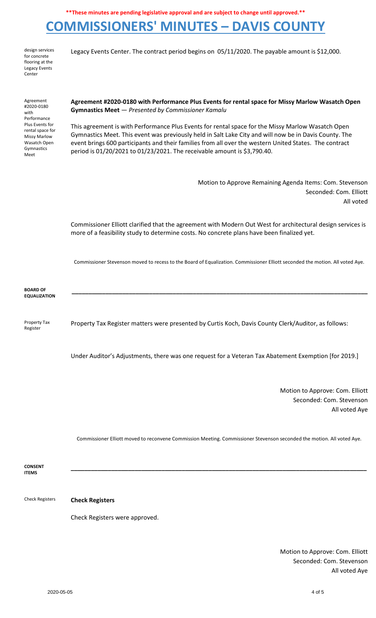### **COMMISSIONERS' MINUTES – DAVIS COUNTY**

| design services      |  |  |
|----------------------|--|--|
| for concrete         |  |  |
| flooring at the      |  |  |
| <b>Legacy Events</b> |  |  |
| Center               |  |  |

Legacy Events Center. The contract period begins on 05/11/2020. The payable amount is \$12,000.

Agreement #2020-0180 with Performance Plus Events for rental space for Missy Marlow Wasatch Open Gymnastics Meet

**Agreement #2020-0180 with Performance Plus Events for rental space for Missy Marlow Wasatch Open Gymnastics Meet** — *Presented by Commissioner Kamalu*

This agreement is with Performance Plus Events for rental space for the Missy Marlow Wasatch Open Gymnastics Meet. This event was previously held in Salt Lake City and will now be in Davis County. The event brings 600 participants and their families from all over the western United States. The contract period is 01/20/2021 to 01/23/2021. The receivable amount is \$3,790.40.

> Motion to Approve Remaining Agenda Items: Com. Stevenson Seconded: Com. Elliott All voted

Commissioner Elliott clarified that the agreement with Modern Out West for architectural design services is more of a feasibility study to determine costs. No concrete plans have been finalized yet.

Commissioner Stevenson moved to recess to the Board of Equalization. Commissioner Elliott seconded the motion. All voted Aye.

**\_\_\_\_\_\_\_\_\_\_\_\_\_\_\_\_\_\_\_\_\_\_\_\_\_\_\_\_\_\_\_\_\_\_\_\_\_\_\_\_\_\_\_\_\_\_\_\_\_\_\_\_\_\_\_\_\_\_\_\_\_\_\_\_\_\_\_\_\_\_\_\_\_\_\_\_\_\_\_\_\_\_\_\_\_\_\_\_**

**BOARD OF EQUALIZATION**

Register

Property Tax Property Tax Register matters were presented by Curtis Koch, Davis County Clerk/Auditor, as follows:

Under Auditor's Adjustments, there was one request for a Veteran Tax Abatement Exemption [for 2019.]

Motion to Approve: Com. Elliott Seconded: Com. Stevenson All voted Aye

Commissioner Elliott moved to reconvene Commission Meeting. Commissioner Stevenson seconded the motion. All voted Aye.

**CONSENT ITEMS \_\_\_\_\_\_\_\_\_\_\_\_\_\_\_\_\_\_\_\_\_\_\_\_\_\_\_\_\_\_\_\_\_\_\_\_\_\_\_\_\_\_\_\_\_\_\_\_\_\_\_\_\_\_\_\_\_\_\_\_\_\_\_\_\_\_\_\_\_\_\_\_\_\_\_\_\_\_\_\_\_\_\_\_\_\_\_\_**

Check Registers **Check Registers**

Check Registers were approved.

Motion to Approve: Com. Elliott Seconded: Com. Stevenson All voted Aye